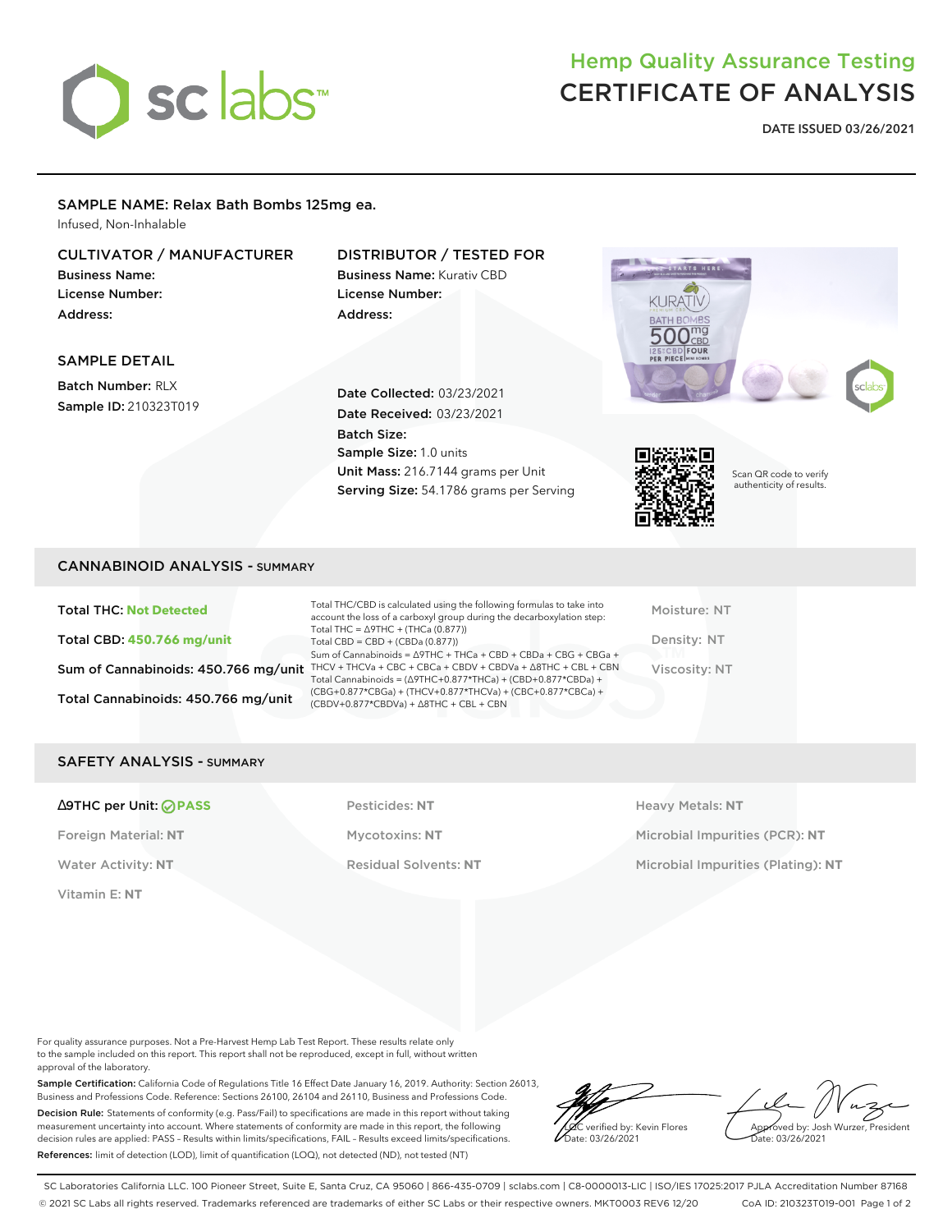

## Hemp Quality Assurance Testing CERTIFICATE OF ANALYSIS

**DATE ISSUED 03/26/2021**

#### SAMPLE NAME: Relax Bath Bombs 125mg ea.

Infused, Non-Inhalable

## CULTIVATOR / MANUFACTURER

Business Name: License Number: Address:

## DISTRIBUTOR / TESTED FOR

Business Name: Kurativ CBD License Number: Address:





Batch Number: RLX Sample ID: 210323T019

## Date Collected: 03/23/2021 Date Received: 03/23/2021 Batch Size: Sample Size: 1.0 units Unit Mass: 216.7144 grams per Unit Serving Size: 54.1786 grams per Serving



Scan QR code to verify authenticity of results.

#### CANNABINOID ANALYSIS - SUMMARY

Total THC: **Not Detected** Total CBD: **450.766 mg/unit** Total Cannabinoids: 450.766 mg/unit

Sum of Cannabinoids: 450.766 mg/unit THCV + THCVa + CBC + CBCa + CBDV + CBDVa +  $\triangle$ 8THC + CBL + CBN Total THC/CBD is calculated using the following formulas to take into account the loss of a carboxyl group during the decarboxylation step: Total THC = ∆9THC + (THCa (0.877)) Total CBD = CBD + (CBDa (0.877)) Sum of Cannabinoids = ∆9THC + THCa + CBD + CBDa + CBG + CBGa + Total Cannabinoids = (∆9THC+0.877\*THCa) + (CBD+0.877\*CBDa) + (CBG+0.877\*CBGa) + (THCV+0.877\*THCVa) + (CBC+0.877\*CBCa) + (CBDV+0.877\*CBDVa) + ∆8THC + CBL + CBN

Moisture: NT Density: NT Viscosity: NT

#### SAFETY ANALYSIS - SUMMARY

#### ∆9THC per Unit: **PASS** Pesticides: **NT** Heavy Metals: **NT**

Vitamin E: **NT**

Foreign Material: **NT** Mycotoxins: **NT** Microbial Impurities (PCR): **NT** Water Activity: NT **Residual Solvents: NT** Microbial Impurities (Plating): NT

For quality assurance purposes. Not a Pre-Harvest Hemp Lab Test Report. These results relate only to the sample included on this report. This report shall not be reproduced, except in full, without written approval of the laboratory.

Sample Certification: California Code of Regulations Title 16 Effect Date January 16, 2019. Authority: Section 26013, Business and Professions Code. Reference: Sections 26100, 26104 and 26110, Business and Professions Code. Decision Rule: Statements of conformity (e.g. Pass/Fail) to specifications are made in this report without taking measurement uncertainty into account. Where statements of conformity are made in this report, the following decision rules are applied: PASS – Results within limits/specifications, FAIL – Results exceed limits/specifications. References: limit of detection (LOD), limit of quantification (LOQ), not detected (ND), not tested (NT)

verified by: Kevin Flores ate: 03/26/2021

Approved by: Josh Wurzer, President ate: 03/26/2021

SC Laboratories California LLC. 100 Pioneer Street, Suite E, Santa Cruz, CA 95060 | 866-435-0709 | sclabs.com | C8-0000013-LIC | ISO/IES 17025:2017 PJLA Accreditation Number 87168 © 2021 SC Labs all rights reserved. Trademarks referenced are trademarks of either SC Labs or their respective owners. MKT0003 REV6 12/20 CoA ID: 210323T019-001 Page 1 of 2